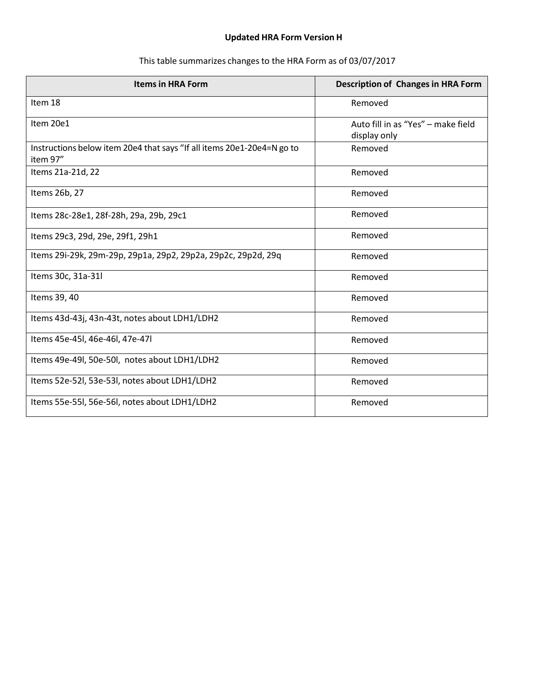## **Updated HRA Form Version H**

| This table summarizes changes to the HRA Form as of 03/07/2017 |  |
|----------------------------------------------------------------|--|
|----------------------------------------------------------------|--|

| <b>Items in HRA Form</b>                                                           | <b>Description of Changes in HRA Form</b>          |
|------------------------------------------------------------------------------------|----------------------------------------------------|
| Item 18                                                                            | Removed                                            |
| Item 20e1                                                                          | Auto fill in as "Yes" - make field<br>display only |
| Instructions below item 20e4 that says "If all items 20e1-20e4=N go to<br>item 97" | Removed                                            |
| Items 21a-21d, 22                                                                  | Removed                                            |
| Items 26b, 27                                                                      | Removed                                            |
| Items 28c-28e1, 28f-28h, 29a, 29b, 29c1                                            | Removed                                            |
| Items 29c3, 29d, 29e, 29f1, 29h1                                                   | Removed                                            |
| Items 29i-29k, 29m-29p, 29p1a, 29p2, 29p2a, 29p2c, 29p2d, 29q                      | Removed                                            |
| Items 30c, 31a-31l                                                                 | Removed                                            |
| Items 39, 40                                                                       | Removed                                            |
| Items 43d-43j, 43n-43t, notes about LDH1/LDH2                                      | Removed                                            |
| Items 45e-45l, 46e-46l, 47e-47l                                                    | Removed                                            |
| Items 49e-49l, 50e-50l, notes about LDH1/LDH2                                      | Removed                                            |
| Items 52e-52l, 53e-53l, notes about LDH1/LDH2                                      | Removed                                            |
| Items 55e-55l, 56e-56l, notes about LDH1/LDH2                                      | Removed                                            |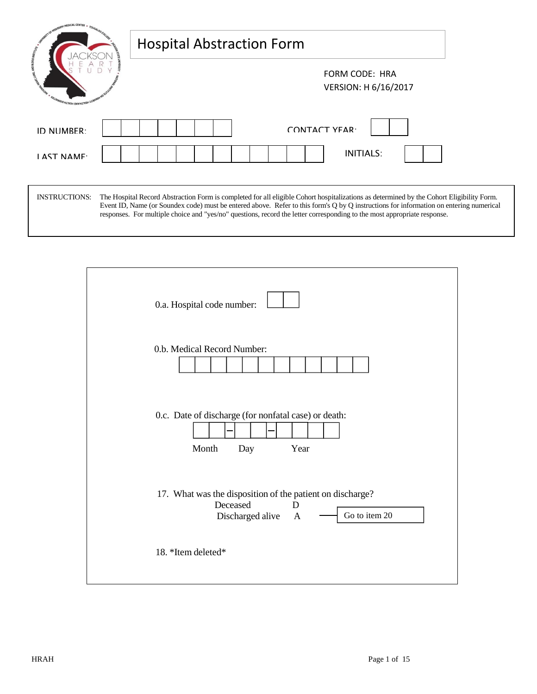| <b>MEDICAL CENTER</b><br><b>SAME ROOT FOR MIX</b>                          | <b>Hospital Abstraction Form</b>                                                                                                                                                                                                                                                                                                                                                                               |  |
|----------------------------------------------------------------------------|----------------------------------------------------------------------------------------------------------------------------------------------------------------------------------------------------------------------------------------------------------------------------------------------------------------------------------------------------------------------------------------------------------------|--|
| <b>JUNG, AND BLOOD INSTITUTE</b><br><b>ASILIANASIO HEYTIN DIVERSITINAL</b> | FORM CODE: HRA<br>VERSION: H 6/16/2017                                                                                                                                                                                                                                                                                                                                                                         |  |
| ID NUMBER<br><b>LAST NAME:</b>                                             | CONTACT YEAR<br><b>INITIALS:</b>                                                                                                                                                                                                                                                                                                                                                                               |  |
|                                                                            |                                                                                                                                                                                                                                                                                                                                                                                                                |  |
| <b>INSTRUCTIONS:</b>                                                       | The Hospital Record Abstraction Form is completed for all eligible Cohort hospitalizations as determined by the Cohort Eligibility Form.<br>Event ID, Name (or Soundex code) must be entered above. Refer to this form's Q by Q instructions for information on entering numerical<br>responses. For multiple choice and "yes/no" questions, record the letter corresponding to the most appropriate response. |  |

| 0.a. Hospital code number:                                                                                                      |
|---------------------------------------------------------------------------------------------------------------------------------|
| 0.b. Medical Record Number:                                                                                                     |
| 0.c. Date of discharge (for nonfatal case) or death:<br>Month<br>Day<br>Year                                                    |
| 17. What was the disposition of the patient on discharge?<br>Deceased<br>D<br>Go to item 20<br>Discharged alive<br>$\mathbf{A}$ |
| 18. *Item deleted*                                                                                                              |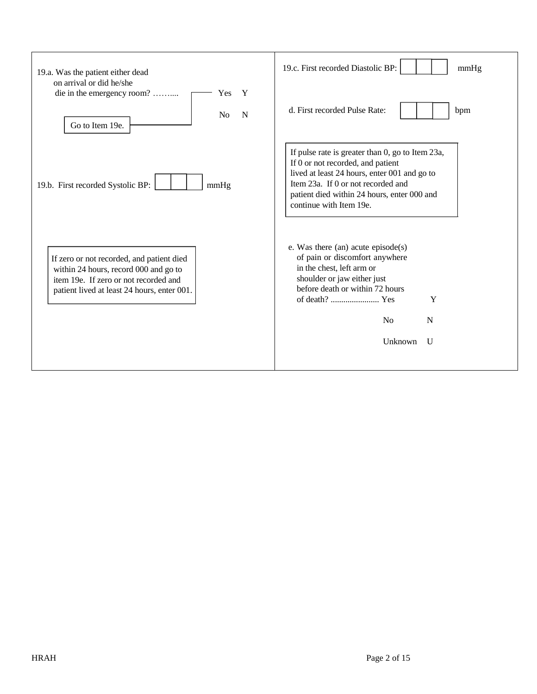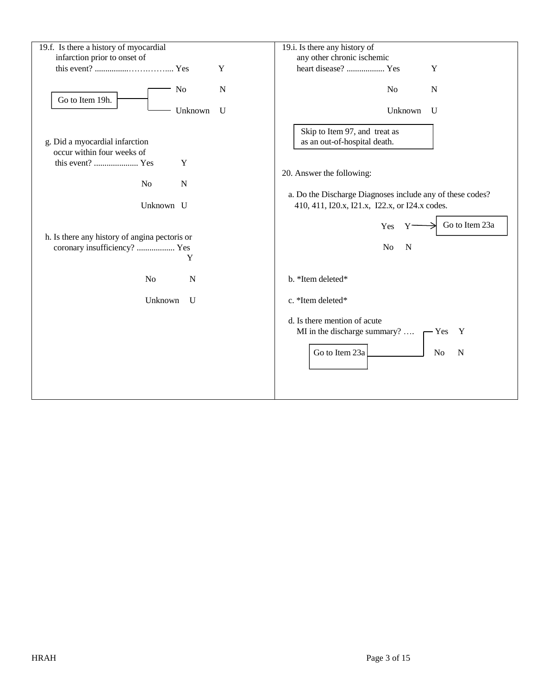| 19.f. Is there a history of myocardial                                             | 19.i. Is there any history of                                                                                              |
|------------------------------------------------------------------------------------|----------------------------------------------------------------------------------------------------------------------------|
| infarction prior to onset of                                                       | any other chronic ischemic                                                                                                 |
| Y                                                                                  | heart disease?  Yes<br>Y                                                                                                   |
| N <sub>0</sub><br>N<br>Go to Item 19h.                                             | No<br>N                                                                                                                    |
| Unknown<br>$\mathbf{U}$                                                            | Unknown<br>$\mathbf{U}$                                                                                                    |
| g. Did a myocardial infarction<br>occur within four weeks of                       | Skip to Item 97, and treat as<br>as an out-of-hospital death.                                                              |
| $\mathbf Y$                                                                        |                                                                                                                            |
|                                                                                    | 20. Answer the following:                                                                                                  |
| N <sub>o</sub><br>$\mathbf N$                                                      |                                                                                                                            |
|                                                                                    | a. Do the Discharge Diagnoses include any of these codes?                                                                  |
| Unknown U                                                                          | 410, 411, I20.x, I21.x, I22.x, or I24.x codes.                                                                             |
|                                                                                    |                                                                                                                            |
| h. Is there any history of angina pectoris or<br>coronary insufficiency?  Yes<br>Y | Go to Item 23a<br>Yes<br>No<br>N                                                                                           |
| N <sub>o</sub><br>$\mathbf N$                                                      | b. *Item deleted*                                                                                                          |
| Unknown<br>$\mathbf U$                                                             | c. *Item deleted*                                                                                                          |
|                                                                                    | d. Is there mention of acute<br>MI in the discharge summary? $\rightarrow$ Yes<br>$\mathbf Y$<br>Go to Item 23a<br>N<br>No |
|                                                                                    |                                                                                                                            |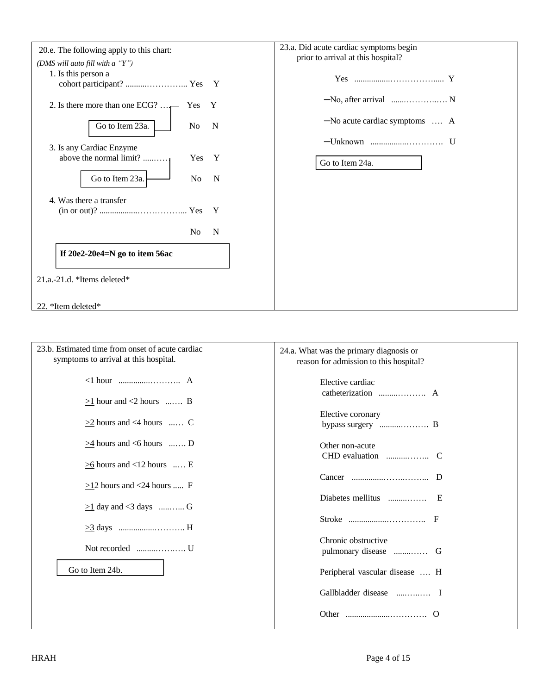| 20.e. The following apply to this chart:<br>(DMS will auto fill with $a''Y''$ )<br>1. Is this person a                                                                                                                                                                                                                                                      | 23.a. Did acute cardiac symptoms begin<br>prior to arrival at this hospital? |
|-------------------------------------------------------------------------------------------------------------------------------------------------------------------------------------------------------------------------------------------------------------------------------------------------------------------------------------------------------------|------------------------------------------------------------------------------|
| 2. Is there more than one ECG? $\ldots$ Yes<br>Go to Item $23a$ .<br>No<br>$\mathbf N$<br>3. Is any Cardiac Enzyme<br>above the normal limit?<br><b>Yes</b><br>$\mathbf{Y}$<br>Go to Item $23a.$<br>$\mathbf N$<br><b>No</b><br>4. Was there a transfer<br>N <sub>0</sub><br>$\mathbf N$<br>If $20e2-20e4=N$ go to item 56ac<br>21.a.-21.d. *Items deleted* | -No acute cardiac symptoms  A<br>Go to Item 24a.                             |
| 22. *Item deleted*                                                                                                                                                                                                                                                                                                                                          |                                                                              |

| 23.b. Estimated time from onset of acute cardiac<br>symptoms to arrival at this hospital. | 24.a. What was the primary diagnosis or<br>reason for admission to this hospital? |
|-------------------------------------------------------------------------------------------|-----------------------------------------------------------------------------------|
| $\geq$ 1 hour and <2 hours  B                                                             | Elective cardiac                                                                  |
| $\geq$ 2 hours and <4 hours  C                                                            | Elective coronary<br>bypass surgery $\dots\dots\dots\dots\dots$ B                 |
| $\geq$ 4 hours and <6 hours  D                                                            | Other non-acute                                                                   |
| $\geq 6$ hours and <12 hours  E                                                           |                                                                                   |
| $>12$ hours and $<$ 24 hours  F                                                           |                                                                                   |
| $\geq$ 1 day and <3 days  G                                                               | Diabetes mellitus  E                                                              |
|                                                                                           |                                                                                   |
|                                                                                           | Chronic obstructive                                                               |
| Go to Item 24b.                                                                           | Peripheral vascular disease  H                                                    |
|                                                                                           |                                                                                   |
|                                                                                           |                                                                                   |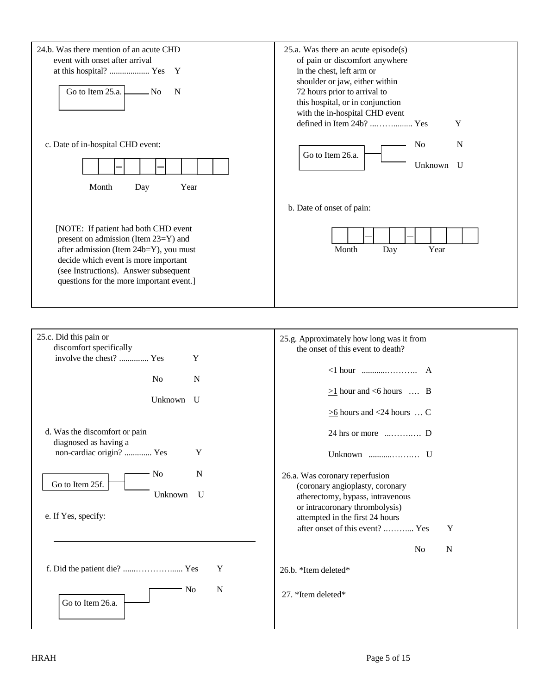

e. If Yes, specify:

f. Did the patient die? ......…………...... Yes Y No N Go to Item 26.a.

27. \*Item deleted\*

26.b. \*Item deleted\*

attempted in the first 24 hours

after onset of this event? ............. Yes Y

No N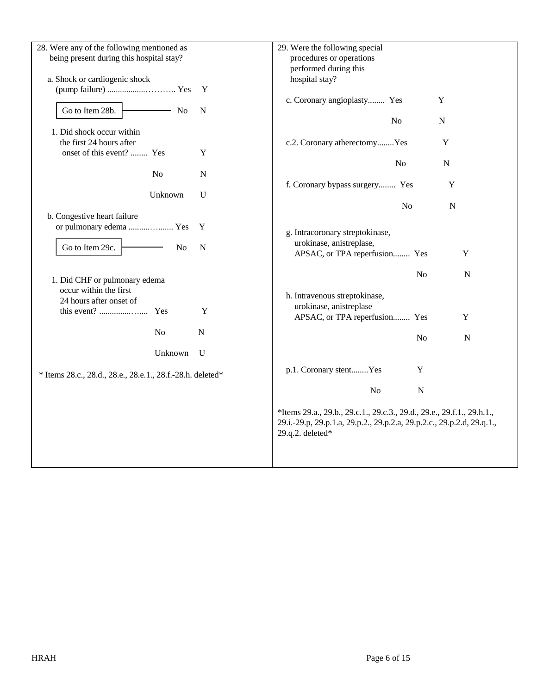|                                                                                        |              | 29. Were the following special                                         |                |             |             |
|----------------------------------------------------------------------------------------|--------------|------------------------------------------------------------------------|----------------|-------------|-------------|
| 28. Were any of the following mentioned as<br>being present during this hospital stay? |              | procedures or operations                                               |                |             |             |
|                                                                                        |              | performed during this                                                  |                |             |             |
| a. Shock or cardiogenic shock                                                          |              | hospital stay?                                                         |                |             |             |
|                                                                                        | Y            |                                                                        |                |             |             |
|                                                                                        |              | c. Coronary angioplasty Yes                                            |                | Y           |             |
| Go to Item 28b.<br>— No                                                                | $\mathbf N$  |                                                                        |                |             |             |
|                                                                                        |              |                                                                        | $\rm No$       | $\mathbf N$ |             |
| 1. Did shock occur within                                                              |              |                                                                        |                |             |             |
| the first 24 hours after                                                               |              | c.2. Coronary atherectomyYes                                           |                | $\mathbf Y$ |             |
| onset of this event?  Yes                                                              | Y            |                                                                        |                |             |             |
|                                                                                        |              |                                                                        | N <sub>o</sub> | $\mathbf N$ |             |
| $\rm No$                                                                               | $\mathbf N$  |                                                                        |                |             |             |
|                                                                                        |              | f. Coronary bypass surgery Yes                                         |                | Y           |             |
| Unknown                                                                                | $\mathbf{U}$ |                                                                        |                |             |             |
|                                                                                        |              |                                                                        | N <sub>0</sub> | N           |             |
| b. Congestive heart failure                                                            |              |                                                                        |                |             |             |
| or pulmonary edema  Yes                                                                | Y            |                                                                        |                |             |             |
|                                                                                        |              | g. Intracoronary streptokinase,                                        |                |             |             |
| Go to Item 29c.<br>N <sub>o</sub>                                                      | ${\bf N}$    | urokinase, anistreplase,                                               |                |             |             |
|                                                                                        |              | APSAC, or TPA reperfusion Yes                                          |                |             | $\mathbf Y$ |
|                                                                                        |              |                                                                        |                |             |             |
| 1. Did CHF or pulmonary edema                                                          |              |                                                                        | N <sub>0</sub> |             | N           |
| occur within the first                                                                 |              |                                                                        |                |             |             |
| 24 hours after onset of                                                                |              | h. Intravenous streptokinase,                                          |                |             |             |
|                                                                                        | $\mathbf Y$  | urokinase, anistreplase                                                |                |             |             |
|                                                                                        |              | APSAC, or TPA reperfusion Yes                                          |                |             | $\mathbf Y$ |
| N <sub>o</sub>                                                                         | ${\bf N}$    |                                                                        |                |             |             |
|                                                                                        |              |                                                                        | No             |             | $\mathbf N$ |
| Unknown                                                                                | U            |                                                                        |                |             |             |
|                                                                                        |              |                                                                        |                |             |             |
| * Items 28.c., 28.d., 28.e., 28.e.1., 28.f.-28.h. deleted*                             |              | p.1. Coronary stentYes                                                 | Y              |             |             |
|                                                                                        |              |                                                                        |                |             |             |
|                                                                                        |              | No                                                                     | ${\bf N}$      |             |             |
|                                                                                        |              |                                                                        |                |             |             |
|                                                                                        |              | *Items 29.a., 29.b., 29.c.1., 29.c.3., 29.d., 29.e., 29.f.1., 29.h.1., |                |             |             |
|                                                                                        |              | 29.i.-29.p, 29.p.1.a, 29.p.2., 29.p.2.a, 29.p.2.c., 29.p.2.d, 29.q.1., |                |             |             |
|                                                                                        |              | 29.q.2. deleted*                                                       |                |             |             |
|                                                                                        |              |                                                                        |                |             |             |
|                                                                                        |              |                                                                        |                |             |             |
|                                                                                        |              |                                                                        |                |             |             |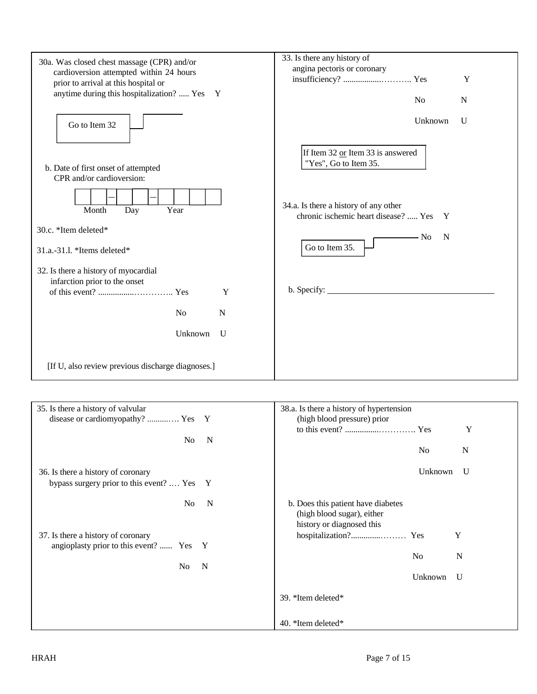

| 35. Is there a history of valvular                                            | 38.a. Is there a history of hypertension                                                      |
|-------------------------------------------------------------------------------|-----------------------------------------------------------------------------------------------|
| disease or cardiomyopathy?  Yes Y                                             | (high blood pressure) prior                                                                   |
| $\mathbf N$<br>No.                                                            | Y                                                                                             |
|                                                                               | N<br>No                                                                                       |
| 36. Is there a history of coronary                                            | Unknown<br>$\mathbf{U}$                                                                       |
| bypass surgery prior to this event?  Yes Y                                    |                                                                                               |
| N<br>No.                                                                      | b. Does this patient have diabetes<br>(high blood sugar), either<br>history or diagnosed this |
| 37. Is there a history of coronary<br>angioplasty prior to this event?  Yes Y | Y                                                                                             |
|                                                                               | N<br>No.                                                                                      |
| $\mathbf N$<br>No.                                                            |                                                                                               |
|                                                                               | Unknown<br>$\mathbf{U}$                                                                       |
|                                                                               | 39. *Item deleted*                                                                            |
|                                                                               | 40. *Item deleted*                                                                            |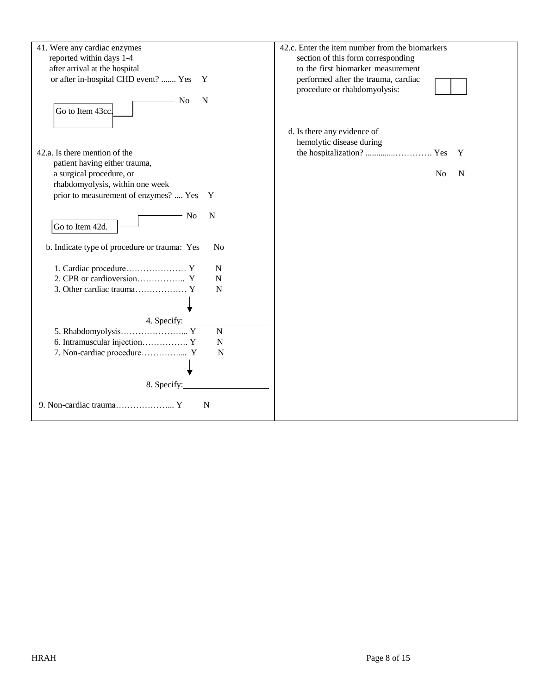|                                                                | 42.c. Enter the item number from the biomarkers |
|----------------------------------------------------------------|-------------------------------------------------|
| 41. Were any cardiac enzymes                                   |                                                 |
| reported within days 1-4                                       | section of this form corresponding              |
| after arrival at the hospital                                  | to the first biomarker measurement              |
| or after in-hospital CHD event?  Yes Y                         | performed after the trauma, cardiac             |
|                                                                | procedure or rhabdomyolysis:                    |
| - No<br>N                                                      |                                                 |
| Go to Item 43cc.                                               |                                                 |
|                                                                |                                                 |
|                                                                | d. Is there any evidence of                     |
|                                                                | hemolytic disease during                        |
| 42.a. Is there mention of the                                  | $\mathbf{Y}$                                    |
| patient having either trauma,                                  |                                                 |
| a surgical procedure, or                                       | N <sub>0</sub><br>$\mathbf N$                   |
| rhabdomyolysis, within one week                                |                                                 |
|                                                                |                                                 |
| prior to measurement of enzymes?  Yes<br>$\mathbf{Y}$          |                                                 |
|                                                                |                                                 |
| N<br>- No                                                      |                                                 |
| Go to Item 42d.                                                |                                                 |
|                                                                |                                                 |
| b. Indicate type of procedure or trauma: Yes<br>N <sub>0</sub> |                                                 |
|                                                                |                                                 |
| N                                                              |                                                 |
| $\mathbf N$                                                    |                                                 |
| N                                                              |                                                 |
|                                                                |                                                 |
|                                                                |                                                 |
| 4. Specify:                                                    |                                                 |
| ${\bf N}$                                                      |                                                 |
| 6. Intramuscular injection Y<br>N                              |                                                 |
| N                                                              |                                                 |
|                                                                |                                                 |
|                                                                |                                                 |
| 8. Specify:                                                    |                                                 |
|                                                                |                                                 |
| 9. Non-cardiac trauma Y<br>N                                   |                                                 |
|                                                                |                                                 |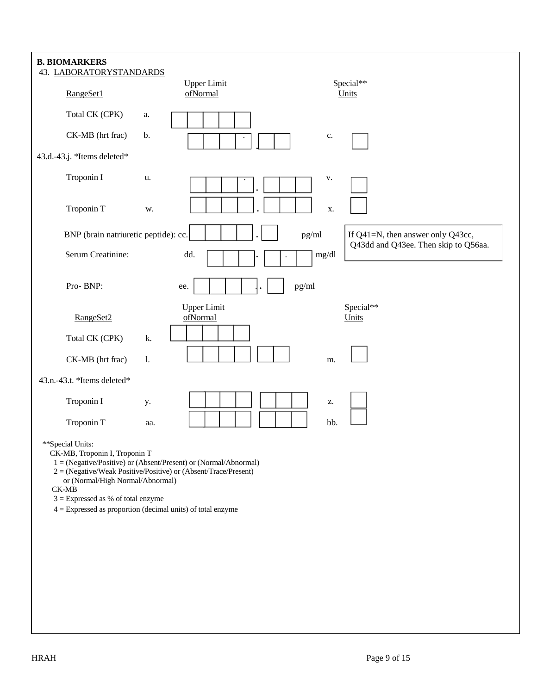| <b>B. BIOMARKERS</b><br>43. LABORATORYSTANDARDS                                                                                                                   |                                                                                                                                                                                                      |                    |                                                                           |
|-------------------------------------------------------------------------------------------------------------------------------------------------------------------|------------------------------------------------------------------------------------------------------------------------------------------------------------------------------------------------------|--------------------|---------------------------------------------------------------------------|
| RangeSet1                                                                                                                                                         | <b>Upper Limit</b><br>ofNormal                                                                                                                                                                       | Special**<br>Units |                                                                           |
| Total CK (CPK)                                                                                                                                                    | a.                                                                                                                                                                                                   |                    |                                                                           |
| CK-MB (hrt frac)                                                                                                                                                  | b.                                                                                                                                                                                                   | $\mathbf{C}.$      |                                                                           |
| 43.d.-43.j. *Items deleted*                                                                                                                                       |                                                                                                                                                                                                      |                    |                                                                           |
| Troponin I                                                                                                                                                        | u.                                                                                                                                                                                                   | V.                 |                                                                           |
| Troponin T                                                                                                                                                        | w.                                                                                                                                                                                                   | X.                 |                                                                           |
| BNP (brain natriuretic peptide): cc.                                                                                                                              |                                                                                                                                                                                                      | pg/ml              | If Q41=N, then answer only Q43cc,<br>Q43dd and Q43ee. Then skip to Q56aa. |
| Serum Creatinine:                                                                                                                                                 | dd.                                                                                                                                                                                                  | mg/dl              |                                                                           |
| Pro-BNP:                                                                                                                                                          | ee.                                                                                                                                                                                                  | pg/ml              |                                                                           |
| RangeSet2                                                                                                                                                         | <b>Upper Limit</b><br>ofNormal                                                                                                                                                                       |                    | Special**<br>Units                                                        |
| Total CK (CPK)                                                                                                                                                    | k.                                                                                                                                                                                                   |                    |                                                                           |
| CK-MB (hrt frac)                                                                                                                                                  | $\mathbf{l}$ .                                                                                                                                                                                       | m.                 |                                                                           |
| 43.n.-43.t. *Items deleted*                                                                                                                                       |                                                                                                                                                                                                      |                    |                                                                           |
| Troponin I                                                                                                                                                        | y.                                                                                                                                                                                                   | Z.                 |                                                                           |
| Troponin T                                                                                                                                                        | aa.                                                                                                                                                                                                  | bb.                |                                                                           |
| **Special Units:<br>CK-MB, Troponin I, Troponin T<br>or (Normal/High Normal/Abnormal)<br>$\mathbf{CK}\text{-}\mathbf{MB}$<br>$3 =$ Expressed as % of total enzyme | 1 = (Negative/Positive) or (Absent/Present) or (Normal/Abnormal)<br>2 = (Negative/Weak Positive/Positive) or (Absent/Trace/Present)<br>$4 =$ Expressed as proportion (decimal units) of total enzyme |                    |                                                                           |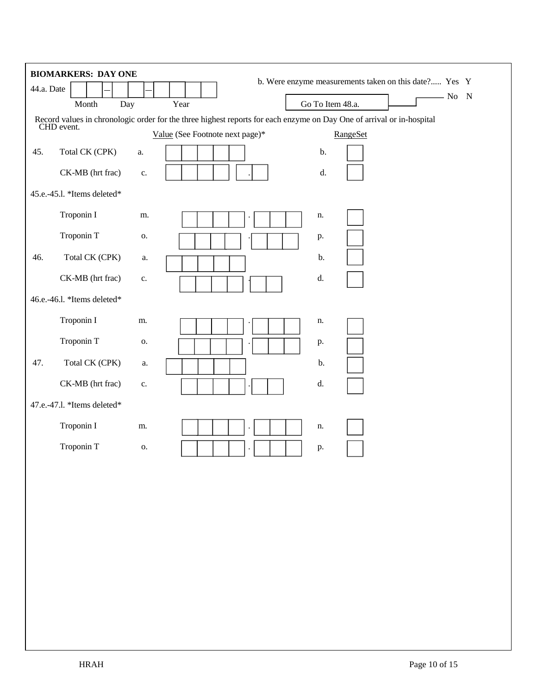|            | <b>BIOMARKERS: DAY ONE</b>  |               | b. Were enzyme measurements taken on this date? Yes Y                                                                            |              |
|------------|-----------------------------|---------------|----------------------------------------------------------------------------------------------------------------------------------|--------------|
| 44.a. Date |                             |               |                                                                                                                                  | $-$ No $-$ N |
|            | Month<br>Day                |               | Year<br>Go To Item 48.a.                                                                                                         |              |
|            |                             |               | Record values in chronologic order for the three highest reports for each enzyme on Day One of arrival or in-hospital CHD event. |              |
|            |                             |               | Value (See Footnote next page)*<br><b>RangeSet</b>                                                                               |              |
| 45.        | Total CK (CPK)              | ${\bf a}.$    | b.                                                                                                                               |              |
|            | CK-MB (hrt frac)            | $\mathbf{c}.$ | d.                                                                                                                               |              |
|            | 45.e.-45.l. *Items deleted* |               |                                                                                                                                  |              |
|            | Troponin I                  | m.            | n.                                                                                                                               |              |
|            | Troponin T                  | 0.            | p.                                                                                                                               |              |
| 46.        | Total CK (CPK)              | a.            | b.                                                                                                                               |              |
|            | CK-MB (hrt frac)            | $\mathbf{c}.$ | d.                                                                                                                               |              |
|            | 46.e.-46.l. *Items deleted* |               |                                                                                                                                  |              |
|            | Troponin I                  | m.            | n.                                                                                                                               |              |
|            | Troponin T                  | 0.            | p.                                                                                                                               |              |
| 47.        | Total CK (CPK)              | a.            | b.                                                                                                                               |              |
|            | CK-MB (hrt frac)            | $\mathbf{c}.$ | d.                                                                                                                               |              |
|            | 47.e.-47.l. *Items deleted* |               |                                                                                                                                  |              |
|            | Troponin I                  | m.            | n.                                                                                                                               |              |
|            | Troponin T                  | 0.            | p.                                                                                                                               |              |
|            |                             |               |                                                                                                                                  |              |
|            |                             |               |                                                                                                                                  |              |
|            |                             |               |                                                                                                                                  |              |
|            |                             |               |                                                                                                                                  |              |
|            |                             |               |                                                                                                                                  |              |
|            |                             |               |                                                                                                                                  |              |
|            |                             |               |                                                                                                                                  |              |
|            |                             |               |                                                                                                                                  |              |
|            |                             |               |                                                                                                                                  |              |
|            |                             |               |                                                                                                                                  |              |
|            |                             |               |                                                                                                                                  |              |
|            |                             |               |                                                                                                                                  |              |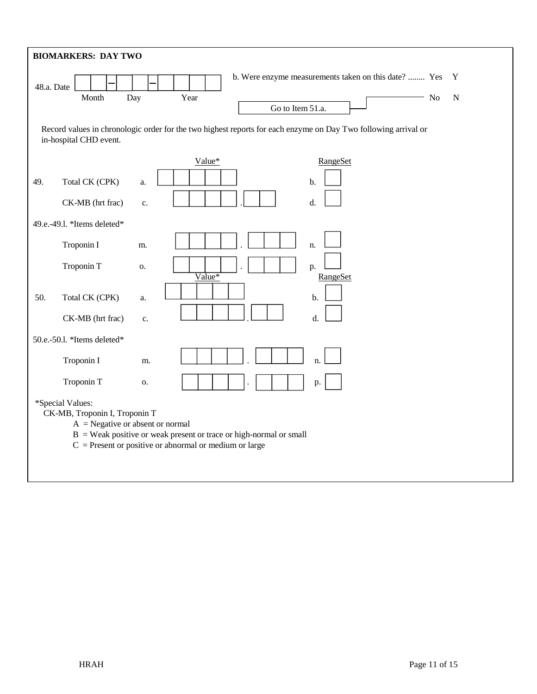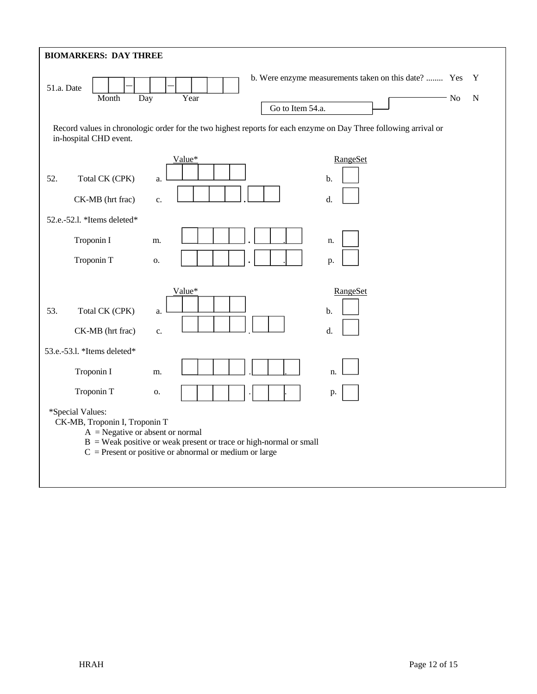| <b>BIOMARKERS: DAY THREE</b>                                                                                                                                                                                                |           |
|-----------------------------------------------------------------------------------------------------------------------------------------------------------------------------------------------------------------------------|-----------|
| b. Were enzyme measurements taken on this date?  Yes Y<br>51.a. Date<br>Year<br>Month<br>Day<br>N <sub>o</sub><br>Go to Item 54.a.                                                                                          | ${\bf N}$ |
| Record values in chronologic order for the two highest reports for each enzyme on Day Three following arrival or<br>in-hospital CHD event.                                                                                  |           |
| RangeSet<br>Value*<br>52.<br>Total CK (CPK)<br>b.<br>a.<br>CK-MB (hrt frac)<br>d.<br>c.                                                                                                                                     |           |
| 52.e.-52.l. *Items deleted*                                                                                                                                                                                                 |           |
| Troponin I<br>m.<br>n.                                                                                                                                                                                                      |           |
| Troponin T<br>0.<br>p.                                                                                                                                                                                                      |           |
| Value*<br>RangeSet<br>53.<br>Total CK (CPK)<br>b.<br>a.<br>CK-MB (hrt frac)<br>d.<br>$\mathbf{c}$ .                                                                                                                         |           |
| 53.e.-53.l. *Items deleted*                                                                                                                                                                                                 |           |
| Troponin I<br>m.<br>n.<br>Troponin T<br>0.<br>p.                                                                                                                                                                            |           |
| *Special Values:<br>CK-MB, Troponin I, Troponin T<br>$A = Negative or absent or normal$<br>$B =$ Weak positive or weak present or trace or high-normal or small<br>$C =$ Present or positive or abnormal or medium or large |           |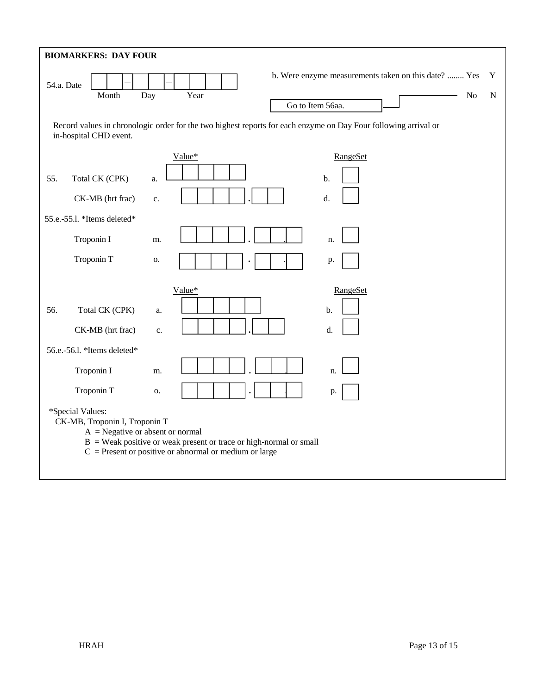| <b>BIOMARKERS: DAY FOUR</b>                                                                                                                                                                                                 |                     |  |  |
|-----------------------------------------------------------------------------------------------------------------------------------------------------------------------------------------------------------------------------|---------------------|--|--|
| b. Were enzyme measurements taken on this date?  Yes                                                                                                                                                                        | Y                   |  |  |
| 54.a. Date<br>Month<br>Year<br>Day                                                                                                                                                                                          | N <sub>o</sub><br>N |  |  |
| Go to Item 56aa.                                                                                                                                                                                                            |                     |  |  |
| Record values in chronologic order for the two highest reports for each enzyme on Day Four following arrival or<br>in-hospital CHD event.                                                                                   |                     |  |  |
| RangeSet<br>Value*                                                                                                                                                                                                          |                     |  |  |
| 55.<br>Total CK (CPK)<br>b.<br>a.                                                                                                                                                                                           |                     |  |  |
| CK-MB (hrt frac)<br>d.<br>c.                                                                                                                                                                                                |                     |  |  |
| 55.e.-55.l. *Items deleted*                                                                                                                                                                                                 |                     |  |  |
| Troponin I<br>m.<br>n.                                                                                                                                                                                                      |                     |  |  |
| Troponin T<br>0.<br>p.                                                                                                                                                                                                      |                     |  |  |
| Value*<br>RangeSet                                                                                                                                                                                                          |                     |  |  |
| Total CK (CPK)<br>56.<br>b.<br>a.                                                                                                                                                                                           |                     |  |  |
| CK-MB (hrt frac)<br>d.<br>c.                                                                                                                                                                                                |                     |  |  |
| 56.e.-56.l. *Items deleted*                                                                                                                                                                                                 |                     |  |  |
| Troponin I<br>m.<br>n.                                                                                                                                                                                                      |                     |  |  |
| Troponin T<br>О.<br>p.                                                                                                                                                                                                      |                     |  |  |
| *Special Values:<br>CK-MB, Troponin I, Troponin T<br>$A = Negative or absent or normal$<br>$B =$ Weak positive or weak present or trace or high-normal or small<br>$C =$ Present or positive or abnormal or medium or large |                     |  |  |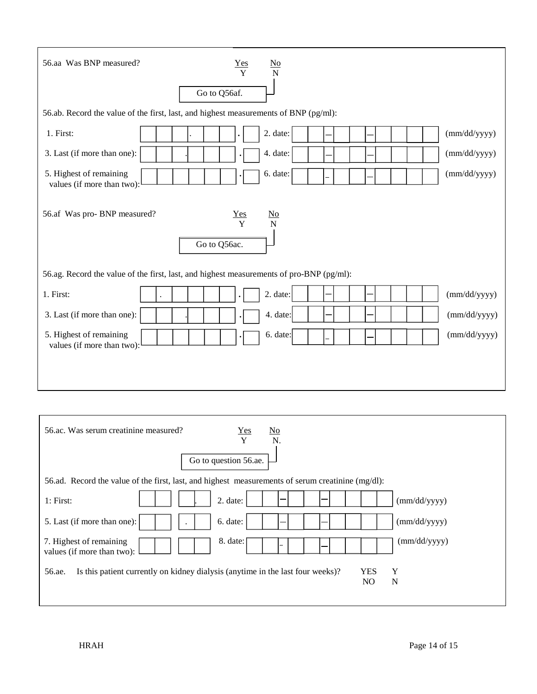| 56.aa Was BNP measured?                                                                  | $\frac{Yes}{Y}$<br>$\underline{\mathrm{No}}$<br>N          |  |  |  |
|------------------------------------------------------------------------------------------|------------------------------------------------------------|--|--|--|
| Go to Q56af.                                                                             |                                                            |  |  |  |
| 56.ab. Record the value of the first, last, and highest measurements of BNP (pg/ml):     |                                                            |  |  |  |
| 1. First:                                                                                | 2. date:<br>(mm/dd/yyyy)                                   |  |  |  |
| 3. Last (if more than one):                                                              | (mm/dd/yyyy)<br>4. date:                                   |  |  |  |
| 5. Highest of remaining<br>values (if more than two):                                    | 6. date:<br>(mm/dd/yyyy)                                   |  |  |  |
| 56.af Was pro- BNP measured?<br>Go to Q56ac.                                             | Yes<br>$\underline{\mathrm{No}}$<br>Y<br>N                 |  |  |  |
| 56.ag. Record the value of the first, last, and highest measurements of pro-BNP (pg/ml): |                                                            |  |  |  |
| 1. First:                                                                                | 2. date:<br>(mm/dd/yyyy)                                   |  |  |  |
| 3. Last (if more than one):                                                              | (mm/dd/yyyy)<br>4. date:                                   |  |  |  |
| 5. Highest of remaining<br>values (if more than two):                                    | 6. date:<br>(mm/dd/yyyy)                                   |  |  |  |
|                                                                                          |                                                            |  |  |  |
|                                                                                          |                                                            |  |  |  |
| 56.ac. Was serum creatinine measured?                                                    | $\frac{Yes}{Y}$<br>$\frac{No}{N}$<br>Go to question 56.ae. |  |  |  |

| 56.ad. Record the value of the first, last, and highest measurements of serum creatinine $(mg/dl)$ : |                     |  |  |
|------------------------------------------------------------------------------------------------------|---------------------|--|--|
| 1: First:<br>$2.$ date:                                                                              | (mm/dd/yyyy)        |  |  |
| 6. date:<br>5. Last (if more than one):<br>$\bullet$                                                 | (mm/dd/yyyy)        |  |  |
| 7. Highest of remaining<br>8. date:<br>$\overline{\phantom{0}}$<br>values (if more than two):        | (mm/dd/yyyy)        |  |  |
| Is this patient currently on kidney dialysis (anytime in the last four weeks)?<br>56.ae.             | YES<br>Y<br>NO<br>N |  |  |